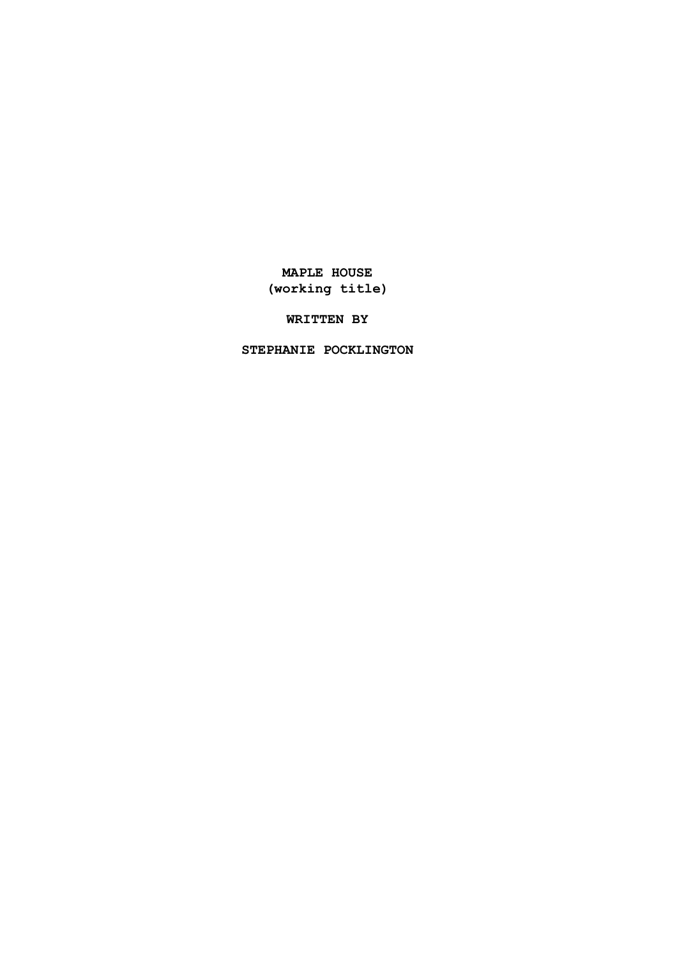# **MAPLE HOUSE (working title)**

# **WRITTEN BY**

# **STEPHANIE POCKLINGTON**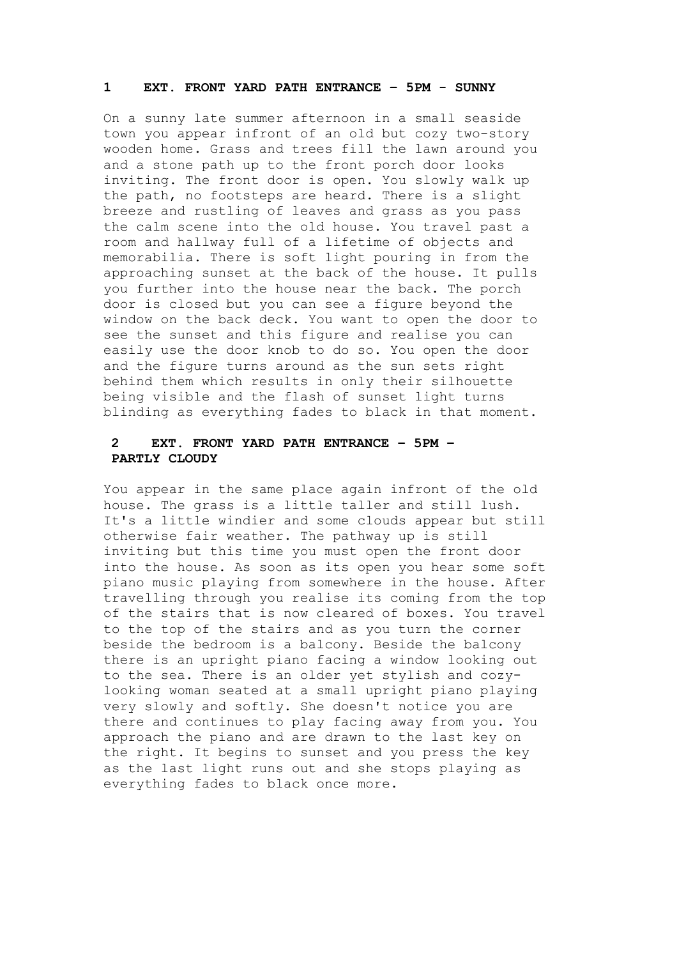#### **1 EXT. FRONT YARD PATH ENTRANCE – 5PM - SUNNY**

On a sunny late summer afternoon in a small seaside town you appear infront of an old but cozy two-story wooden home. Grass and trees fill the lawn around you and a stone path up to the front porch door looks inviting. The front door is open. You slowly walk up the path, no footsteps are heard. There is a slight breeze and rustling of leaves and grass as you pass the calm scene into the old house. You travel past a room and hallway full of a lifetime of objects and memorabilia. There is soft light pouring in from the approaching sunset at the back of the house. It pulls you further into the house near the back. The porch door is closed but you can see a figure beyond the window on the back deck. You want to open the door to see the sunset and this figure and realise you can easily use the door knob to do so. You open the door and the figure turns around as the sun sets right behind them which results in only their silhouette being visible and the flash of sunset light turns blinding as everything fades to black in that moment.

# **2 EXT. FRONT YARD PATH ENTRANCE – 5PM – PARTLY CLOUDY**

You appear in the same place again infront of the old house. The grass is a little taller and still lush. It's a little windier and some clouds appear but still otherwise fair weather. The pathway up is still inviting but this time you must open the front door into the house. As soon as its open you hear some soft piano music playing from somewhere in the house. After travelling through you realise its coming from the top of the stairs that is now cleared of boxes. You travel to the top of the stairs and as you turn the corner beside the bedroom is a balcony. Beside the balcony there is an upright piano facing a window looking out to the sea. There is an older yet stylish and cozylooking woman seated at a small upright piano playing very slowly and softly. She doesn't notice you are there and continues to play facing away from you. You approach the piano and are drawn to the last key on the right. It begins to sunset and you press the key as the last light runs out and she stops playing as everything fades to black once more.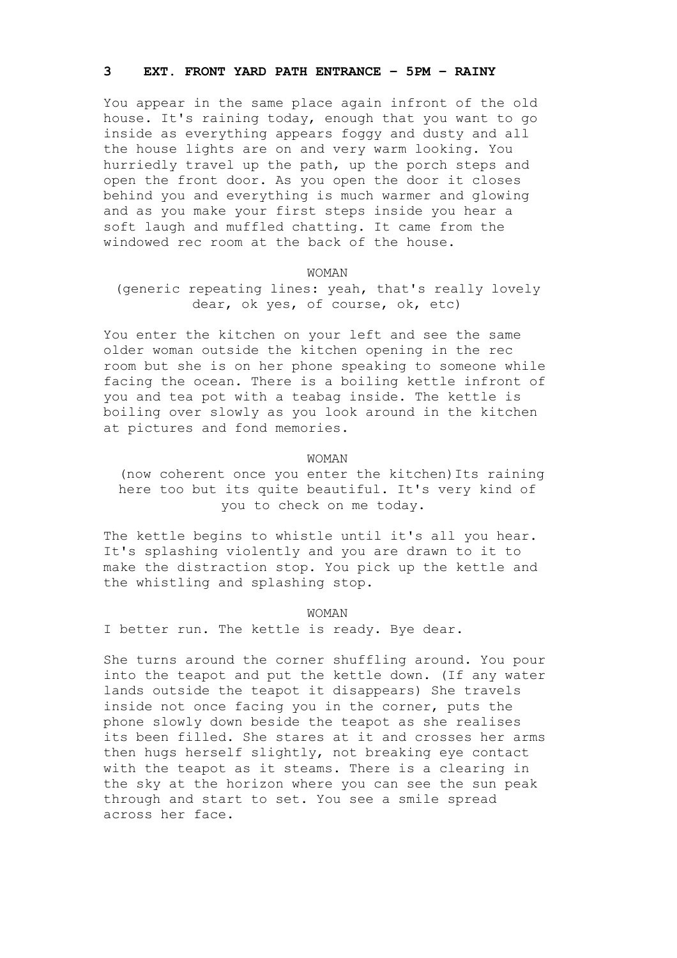### **3 EXT. FRONT YARD PATH ENTRANCE – 5PM – RAINY**

You appear in the same place again infront of the old house. It's raining today, enough that you want to go inside as everything appears foggy and dusty and all the house lights are on and very warm looking. You hurriedly travel up the path, up the porch steps and open the front door. As you open the door it closes behind you and everything is much warmer and glowing and as you make your first steps inside you hear a soft laugh and muffled chatting. It came from the windowed rec room at the back of the house.

#### WOMAN

# (generic repeating lines: yeah, that's really lovely dear, ok yes, of course, ok, etc)

You enter the kitchen on your left and see the same older woman outside the kitchen opening in the rec room but she is on her phone speaking to someone while facing the ocean. There is a boiling kettle infront of you and tea pot with a teabag inside. The kettle is boiling over slowly as you look around in the kitchen at pictures and fond memories.

### WOMAN

 (now coherent once you enter the kitchen)Its raining here too but its quite beautiful. It's very kind of you to check on me today.

The kettle begins to whistle until it's all you hear. It's splashing violently and you are drawn to it to make the distraction stop. You pick up the kettle and the whistling and splashing stop.

#### WOMAN

I better run. The kettle is ready. Bye dear.

She turns around the corner shuffling around. You pour into the teapot and put the kettle down. (If any water lands outside the teapot it disappears) She travels inside not once facing you in the corner, puts the phone slowly down beside the teapot as she realises its been filled. She stares at it and crosses her arms then hugs herself slightly, not breaking eye contact with the teapot as it steams. There is a clearing in the sky at the horizon where you can see the sun peak through and start to set. You see a smile spread across her face.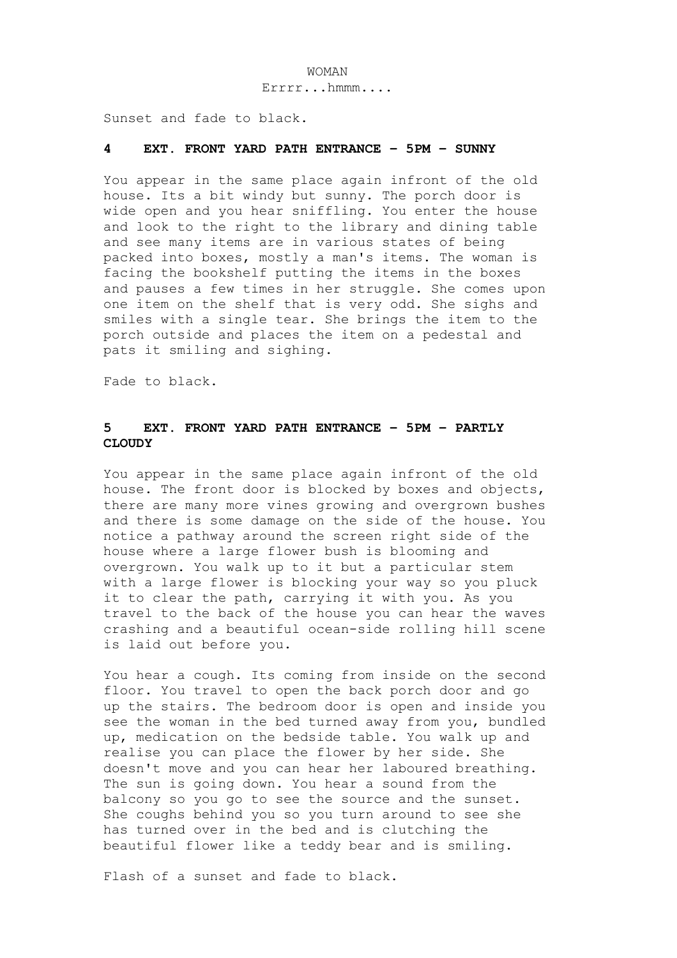#### WOMAN

Errrr...hmmm....

Sunset and fade to black.

### **4 EXT. FRONT YARD PATH ENTRANCE – 5PM – SUNNY**

You appear in the same place again infront of the old house. Its a bit windy but sunny. The porch door is wide open and you hear sniffling. You enter the house and look to the right to the library and dining table and see many items are in various states of being packed into boxes, mostly a man's items. The woman is facing the bookshelf putting the items in the boxes and pauses a few times in her struggle. She comes upon one item on the shelf that is very odd. She sighs and smiles with a single tear. She brings the item to the porch outside and places the item on a pedestal and pats it smiling and sighing.

Fade to black.

### **5 EXT. FRONT YARD PATH ENTRANCE – 5PM – PARTLY CLOUDY**

You appear in the same place again infront of the old house. The front door is blocked by boxes and objects, there are many more vines growing and overgrown bushes and there is some damage on the side of the house. You notice a pathway around the screen right side of the house where a large flower bush is blooming and overgrown. You walk up to it but a particular stem with a large flower is blocking your way so you pluck it to clear the path, carrying it with you. As you travel to the back of the house you can hear the waves crashing and a beautiful ocean-side rolling hill scene is laid out before you.

You hear a cough. Its coming from inside on the second floor. You travel to open the back porch door and go up the stairs. The bedroom door is open and inside you see the woman in the bed turned away from you, bundled up, medication on the bedside table. You walk up and realise you can place the flower by her side. She doesn't move and you can hear her laboured breathing. The sun is going down. You hear a sound from the balcony so you go to see the source and the sunset. She coughs behind you so you turn around to see she has turned over in the bed and is clutching the beautiful flower like a teddy bear and is smiling.

Flash of a sunset and fade to black.